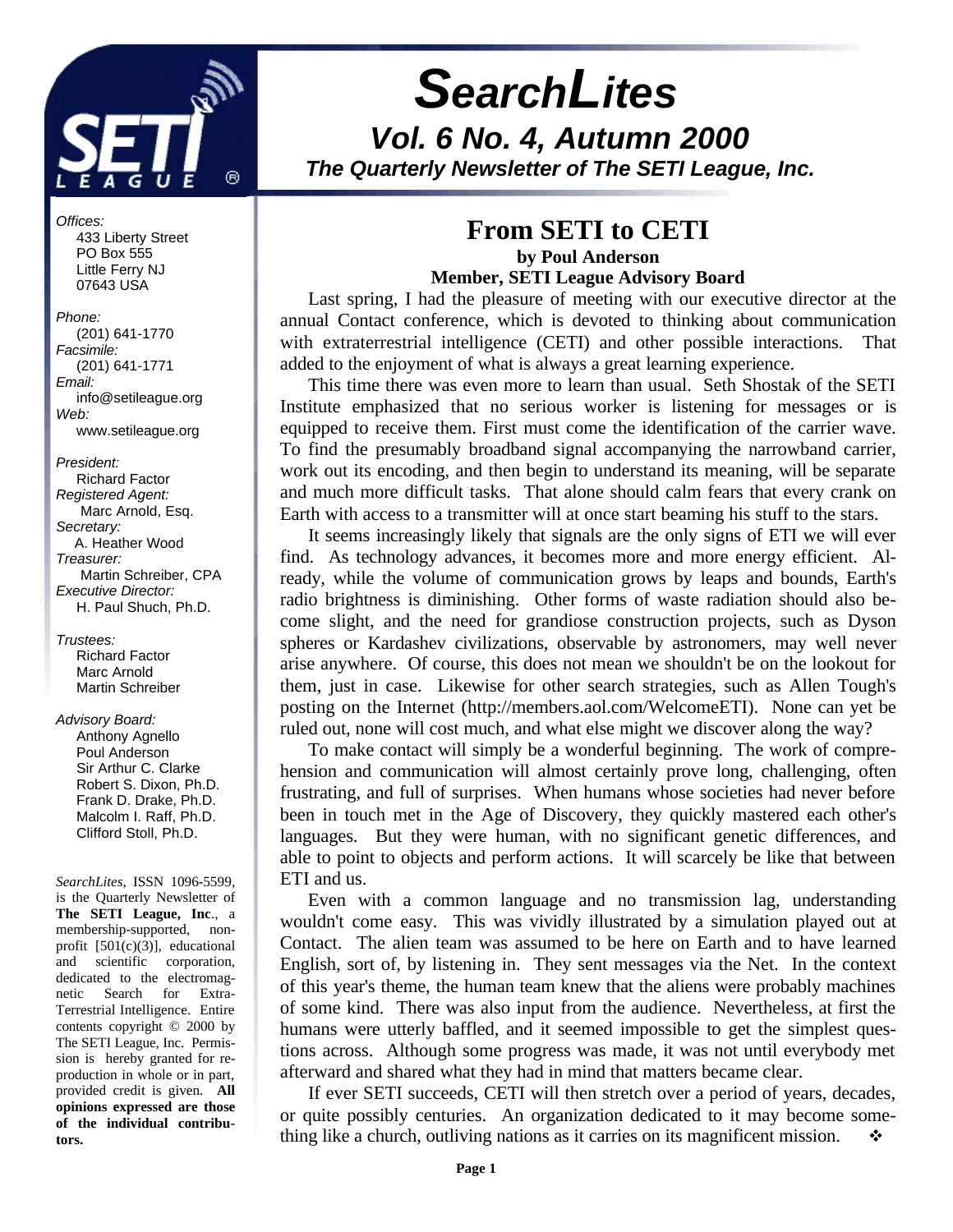

# *SearchLites Vol. 6 No. 4, Autumn 2000*

*The Quarterly Newsletter of The SETI League, Inc.*

#### *Offices:* 433 Liberty Street PO Box 555 Little Ferry NJ 07643 USA

*Phone:* (201) 641-1770 *Facsimile:* (201) 641-1771 *Email:* info@setileague.org *Web:* www.setileague.org

*President:* Richard Factor *Registered Agent:*  Marc Arnold, Esq. *Secretary:* A. Heather Wood *Treasurer:*  Martin Schreiber, CPA *Executive Director:* H. Paul Shuch, Ph.D.

*Trustees:* Richard Factor Marc Arnold Martin Schreiber

#### *Advisory Board:*

 Anthony Agnello Poul Anderson Sir Arthur C. Clarke Robert S. Dixon, Ph.D. Frank D. Drake, Ph.D. Malcolm I. Raff, Ph.D. Clifford Stoll, Ph.D.

*SearchLites*, ISSN 1096-5599, is the Quarterly Newsletter of **The SETI League, Inc**., a membership-supported, nonprofit [501(c)(3)], educational and scientific corporation, dedicated to the electromagnetic Search for Extra-Terrestrial Intelligence. Entire contents copyright © 2000 by The SETI League, Inc. Permission is hereby granted for reproduction in whole or in part, provided credit is given. **All opinions expressed are those of the individual contributors.**

### **From SETI to CETI by Poul Anderson Member, SETI League Advisory Board**

Last spring, I had the pleasure of meeting with our executive director at the annual Contact conference, which is devoted to thinking about communication with extraterrestrial intelligence (CETI) and other possible interactions. That added to the enjoyment of what is always a great learning experience.

This time there was even more to learn than usual. Seth Shostak of the SETI Institute emphasized that no serious worker is listening for messages or is equipped to receive them. First must come the identification of the carrier wave. To find the presumably broadband signal accompanying the narrowband carrier, work out its encoding, and then begin to understand its meaning, will be separate and much more difficult tasks. That alone should calm fears that every crank on Earth with access to a transmitter will at once start beaming his stuff to the stars.

It seems increasingly likely that signals are the only signs of ETI we will ever find. As technology advances, it becomes more and more energy efficient. Already, while the volume of communication grows by leaps and bounds, Earth's radio brightness is diminishing. Other forms of waste radiation should also become slight, and the need for grandiose construction projects, such as Dyson spheres or Kardashev civilizations, observable by astronomers, may well never arise anywhere. Of course, this does not mean we shouldn't be on the lookout for them, just in case. Likewise for other search strategies, such as Allen Tough's posting on the Internet (http://members.aol.com/WelcomeETI). None can yet be ruled out, none will cost much, and what else might we discover along the way?

To make contact will simply be a wonderful beginning. The work of comprehension and communication will almost certainly prove long, challenging, often frustrating, and full of surprises. When humans whose societies had never before been in touch met in the Age of Discovery, they quickly mastered each other's languages. But they were human, with no significant genetic differences, and able to point to objects and perform actions. It will scarcely be like that between ETI and us.

Even with a common language and no transmission lag, understanding wouldn't come easy. This was vividly illustrated by a simulation played out at Contact. The alien team was assumed to be here on Earth and to have learned English, sort of, by listening in. They sent messages via the Net. In the context of this year's theme, the human team knew that the aliens were probably machines of some kind. There was also input from the audience. Nevertheless, at first the humans were utterly baffled, and it seemed impossible to get the simplest questions across. Although some progress was made, it was not until everybody met afterward and shared what they had in mind that matters became clear.

If ever SETI succeeds, CETI will then stretch over a period of years, decades, or quite possibly centuries. An organization dedicated to it may become something like a church, outliving nations as it carries on its magnificent mission.  $\cdot \cdot$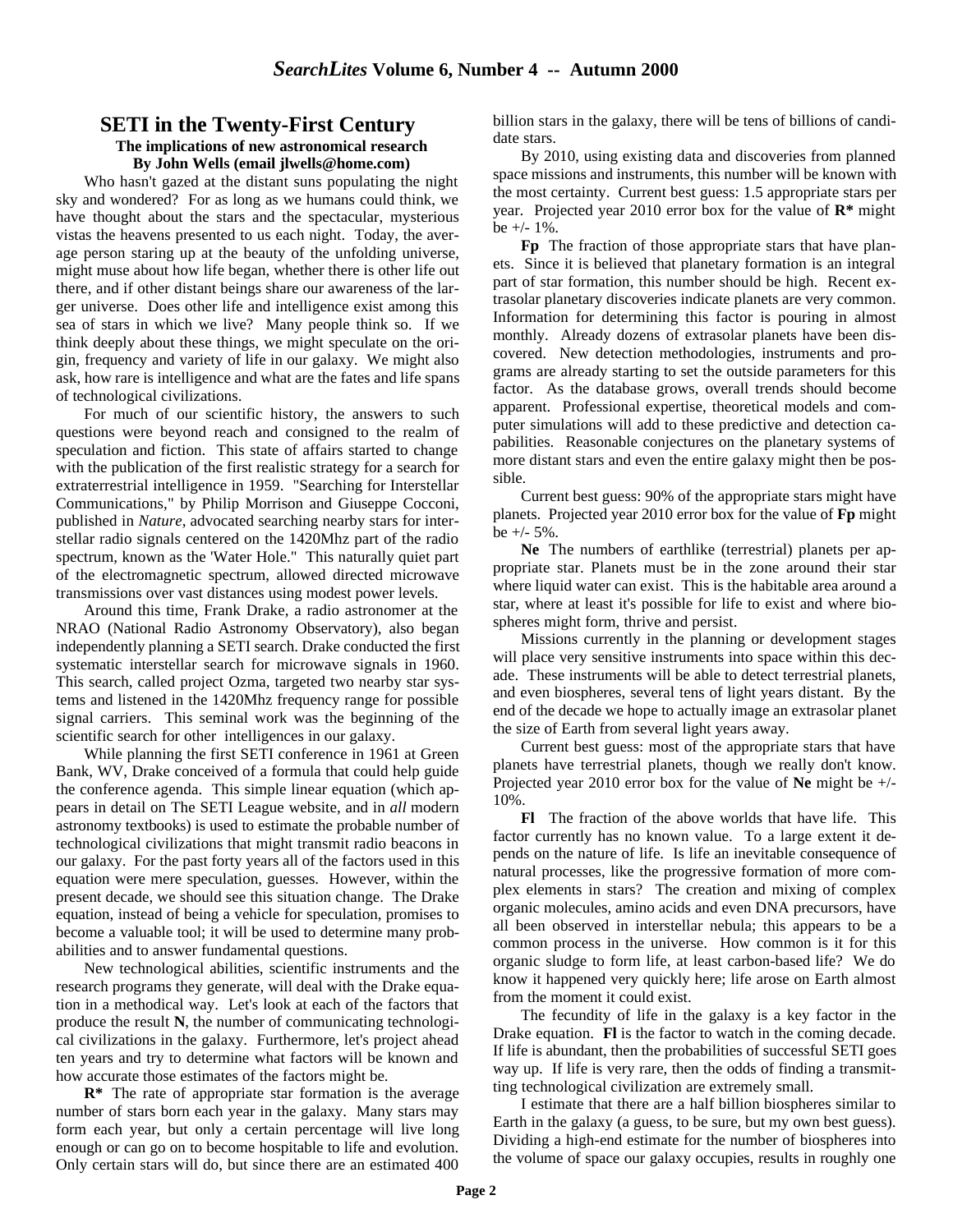### **SETI in the Twenty-First Century**

#### **The implications of new astronomical research By John Wells (email jlwells@home.com)**

Who hasn't gazed at the distant suns populating the night sky and wondered? For as long as we humans could think, we have thought about the stars and the spectacular, mysterious vistas the heavens presented to us each night. Today, the average person staring up at the beauty of the unfolding universe, might muse about how life began, whether there is other life out there, and if other distant beings share our awareness of the larger universe. Does other life and intelligence exist among this sea of stars in which we live? Many people think so. If we think deeply about these things, we might speculate on the origin, frequency and variety of life in our galaxy. We might also ask, how rare is intelligence and what are the fates and life spans of technological civilizations.

For much of our scientific history, the answers to such questions were beyond reach and consigned to the realm of speculation and fiction. This state of affairs started to change with the publication of the first realistic strategy for a search for extraterrestrial intelligence in 1959. "Searching for Interstellar Communications," by Philip Morrison and Giuseppe Cocconi, published in *Nature*, advocated searching nearby stars for interstellar radio signals centered on the 1420Mhz part of the radio spectrum, known as the 'Water Hole." This naturally quiet part of the electromagnetic spectrum, allowed directed microwave transmissions over vast distances using modest power levels.

Around this time, Frank Drake, a radio astronomer at the NRAO (National Radio Astronomy Observatory), also began independently planning a SETI search. Drake conducted the first systematic interstellar search for microwave signals in 1960. This search, called project Ozma, targeted two nearby star systems and listened in the 1420Mhz frequency range for possible signal carriers. This seminal work was the beginning of the scientific search for other intelligences in our galaxy.

While planning the first SETI conference in 1961 at Green Bank, WV, Drake conceived of a formula that could help guide the conference agenda. This simple linear equation (which appears in detail on The SETI League website, and in *all* modern astronomy textbooks) is used to estimate the probable number of technological civilizations that might transmit radio beacons in our galaxy. For the past forty years all of the factors used in this equation were mere speculation, guesses. However, within the present decade, we should see this situation change. The Drake equation, instead of being a vehicle for speculation, promises to become a valuable tool; it will be used to determine many probabilities and to answer fundamental questions.

New technological abilities, scientific instruments and the research programs they generate, will deal with the Drake equation in a methodical way. Let's look at each of the factors that produce the result **N**, the number of communicating technological civilizations in the galaxy. Furthermore, let's project ahead ten years and try to determine what factors will be known and how accurate those estimates of the factors might be.

**R\*** The rate of appropriate star formation is the average number of stars born each year in the galaxy. Many stars may form each year, but only a certain percentage will live long enough or can go on to become hospitable to life and evolution. Only certain stars will do, but since there are an estimated 400 billion stars in the galaxy, there will be tens of billions of candidate stars.

By 2010, using existing data and discoveries from planned space missions and instruments, this number will be known with the most certainty. Current best guess: 1.5 appropriate stars per year. Projected year 2010 error box for the value of **R\*** might be  $+/- 1\%$ .

**Fp** The fraction of those appropriate stars that have planets. Since it is believed that planetary formation is an integral part of star formation, this number should be high. Recent extrasolar planetary discoveries indicate planets are very common. Information for determining this factor is pouring in almost monthly. Already dozens of extrasolar planets have been discovered. New detection methodologies, instruments and programs are already starting to set the outside parameters for this factor. As the database grows, overall trends should become apparent. Professional expertise, theoretical models and computer simulations will add to these predictive and detection capabilities. Reasonable conjectures on the planetary systems of more distant stars and even the entire galaxy might then be possible.

Current best guess: 90% of the appropriate stars might have planets. Projected year 2010 error box for the value of **Fp** might be +/- 5%.

**Ne** The numbers of earthlike (terrestrial) planets per appropriate star. Planets must be in the zone around their star where liquid water can exist. This is the habitable area around a star, where at least it's possible for life to exist and where biospheres might form, thrive and persist.

Missions currently in the planning or development stages will place very sensitive instruments into space within this decade. These instruments will be able to detect terrestrial planets, and even biospheres, several tens of light years distant. By the end of the decade we hope to actually image an extrasolar planet the size of Earth from several light years away.

Current best guess: most of the appropriate stars that have planets have terrestrial planets, though we really don't know. Projected year 2010 error box for the value of **Ne** might be +/- 10%.

**Fl** The fraction of the above worlds that have life. This factor currently has no known value. To a large extent it depends on the nature of life. Is life an inevitable consequence of natural processes, like the progressive formation of more complex elements in stars? The creation and mixing of complex organic molecules, amino acids and even DNA precursors, have all been observed in interstellar nebula; this appears to be a common process in the universe. How common is it for this organic sludge to form life, at least carbon-based life? We do know it happened very quickly here; life arose on Earth almost from the moment it could exist.

The fecundity of life in the galaxy is a key factor in the Drake equation. **Fl** is the factor to watch in the coming decade. If life is abundant, then the probabilities of successful SETI goes way up. If life is very rare, then the odds of finding a transmitting technological civilization are extremely small.

I estimate that there are a half billion biospheres similar to Earth in the galaxy (a guess, to be sure, but my own best guess). Dividing a high-end estimate for the number of biospheres into the volume of space our galaxy occupies, results in roughly one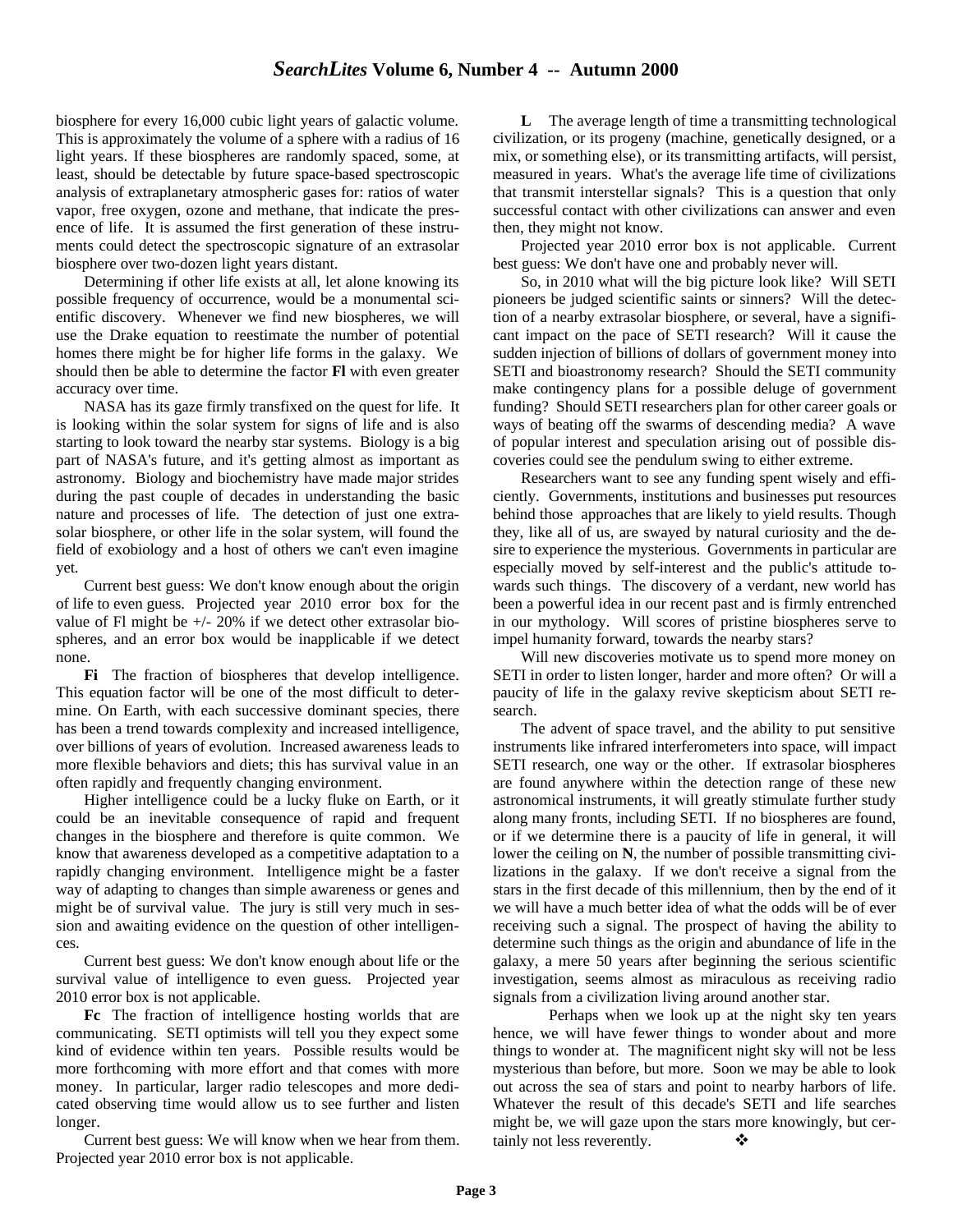#### *SearchLites* **Volume 6, Number 4 -- Autumn 2000**

biosphere for every 16,000 cubic light years of galactic volume. This is approximately the volume of a sphere with a radius of 16 light years. If these biospheres are randomly spaced, some, at least, should be detectable by future space-based spectroscopic analysis of extraplanetary atmospheric gases for: ratios of water vapor, free oxygen, ozone and methane, that indicate the presence of life. It is assumed the first generation of these instruments could detect the spectroscopic signature of an extrasolar biosphere over two-dozen light years distant.

Determining if other life exists at all, let alone knowing its possible frequency of occurrence, would be a monumental scientific discovery. Whenever we find new biospheres, we will use the Drake equation to reestimate the number of potential homes there might be for higher life forms in the galaxy. We should then be able to determine the factor **Fl** with even greater accuracy over time.

NASA has its gaze firmly transfixed on the quest for life. It is looking within the solar system for signs of life and is also starting to look toward the nearby star systems. Biology is a big part of NASA's future, and it's getting almost as important as astronomy. Biology and biochemistry have made major strides during the past couple of decades in understanding the basic nature and processes of life. The detection of just one extrasolar biosphere, or other life in the solar system, will found the field of exobiology and a host of others we can't even imagine yet.

Current best guess: We don't know enough about the origin of life to even guess. Projected year 2010 error box for the value of Fl might be +/- 20% if we detect other extrasolar biospheres, and an error box would be inapplicable if we detect none.

**Fi** The fraction of biospheres that develop intelligence. This equation factor will be one of the most difficult to determine. On Earth, with each successive dominant species, there has been a trend towards complexity and increased intelligence, over billions of years of evolution. Increased awareness leads to more flexible behaviors and diets; this has survival value in an often rapidly and frequently changing environment.

Higher intelligence could be a lucky fluke on Earth, or it could be an inevitable consequence of rapid and frequent changes in the biosphere and therefore is quite common. We know that awareness developed as a competitive adaptation to a rapidly changing environment. Intelligence might be a faster way of adapting to changes than simple awareness or genes and might be of survival value. The jury is still very much in session and awaiting evidence on the question of other intelligences.

Current best guess: We don't know enough about life or the survival value of intelligence to even guess. Projected year 2010 error box is not applicable.

**Fc** The fraction of intelligence hosting worlds that are communicating. SETI optimists will tell you they expect some kind of evidence within ten years. Possible results would be more forthcoming with more effort and that comes with more money. In particular, larger radio telescopes and more dedicated observing time would allow us to see further and listen longer.

Current best guess: We will know when we hear from them. Projected year 2010 error box is not applicable.

**L** The average length of time a transmitting technological civilization, or its progeny (machine, genetically designed, or a mix, or something else), or its transmitting artifacts, will persist, measured in years. What's the average life time of civilizations that transmit interstellar signals? This is a question that only successful contact with other civilizations can answer and even then, they might not know.

Projected year 2010 error box is not applicable. Current best guess: We don't have one and probably never will.

So, in 2010 what will the big picture look like? Will SETI pioneers be judged scientific saints or sinners? Will the detection of a nearby extrasolar biosphere, or several, have a significant impact on the pace of SETI research? Will it cause the sudden injection of billions of dollars of government money into SETI and bioastronomy research? Should the SETI community make contingency plans for a possible deluge of government funding? Should SETI researchers plan for other career goals or ways of beating off the swarms of descending media? A wave of popular interest and speculation arising out of possible discoveries could see the pendulum swing to either extreme.

Researchers want to see any funding spent wisely and efficiently. Governments, institutions and businesses put resources behind those approaches that are likely to yield results. Though they, like all of us, are swayed by natural curiosity and the desire to experience the mysterious. Governments in particular are especially moved by self-interest and the public's attitude towards such things. The discovery of a verdant, new world has been a powerful idea in our recent past and is firmly entrenched in our mythology. Will scores of pristine biospheres serve to impel humanity forward, towards the nearby stars?

Will new discoveries motivate us to spend more money on SETI in order to listen longer, harder and more often? Or will a paucity of life in the galaxy revive skepticism about SETI research.

The advent of space travel, and the ability to put sensitive instruments like infrared interferometers into space, will impact SETI research, one way or the other. If extrasolar biospheres are found anywhere within the detection range of these new astronomical instruments, it will greatly stimulate further study along many fronts, including SETI. If no biospheres are found, or if we determine there is a paucity of life in general, it will lower the ceiling on **N**, the number of possible transmitting civilizations in the galaxy. If we don't receive a signal from the stars in the first decade of this millennium, then by the end of it we will have a much better idea of what the odds will be of ever receiving such a signal. The prospect of having the ability to determine such things as the origin and abundance of life in the galaxy, a mere 50 years after beginning the serious scientific investigation, seems almost as miraculous as receiving radio signals from a civilization living around another star.

Perhaps when we look up at the night sky ten years hence, we will have fewer things to wonder about and more things to wonder at. The magnificent night sky will not be less mysterious than before, but more. Soon we may be able to look out across the sea of stars and point to nearby harbors of life. Whatever the result of this decade's SETI and life searches might be, we will gaze upon the stars more knowingly, but certainly not less reverently.  $\mathbf{\hat{P}}$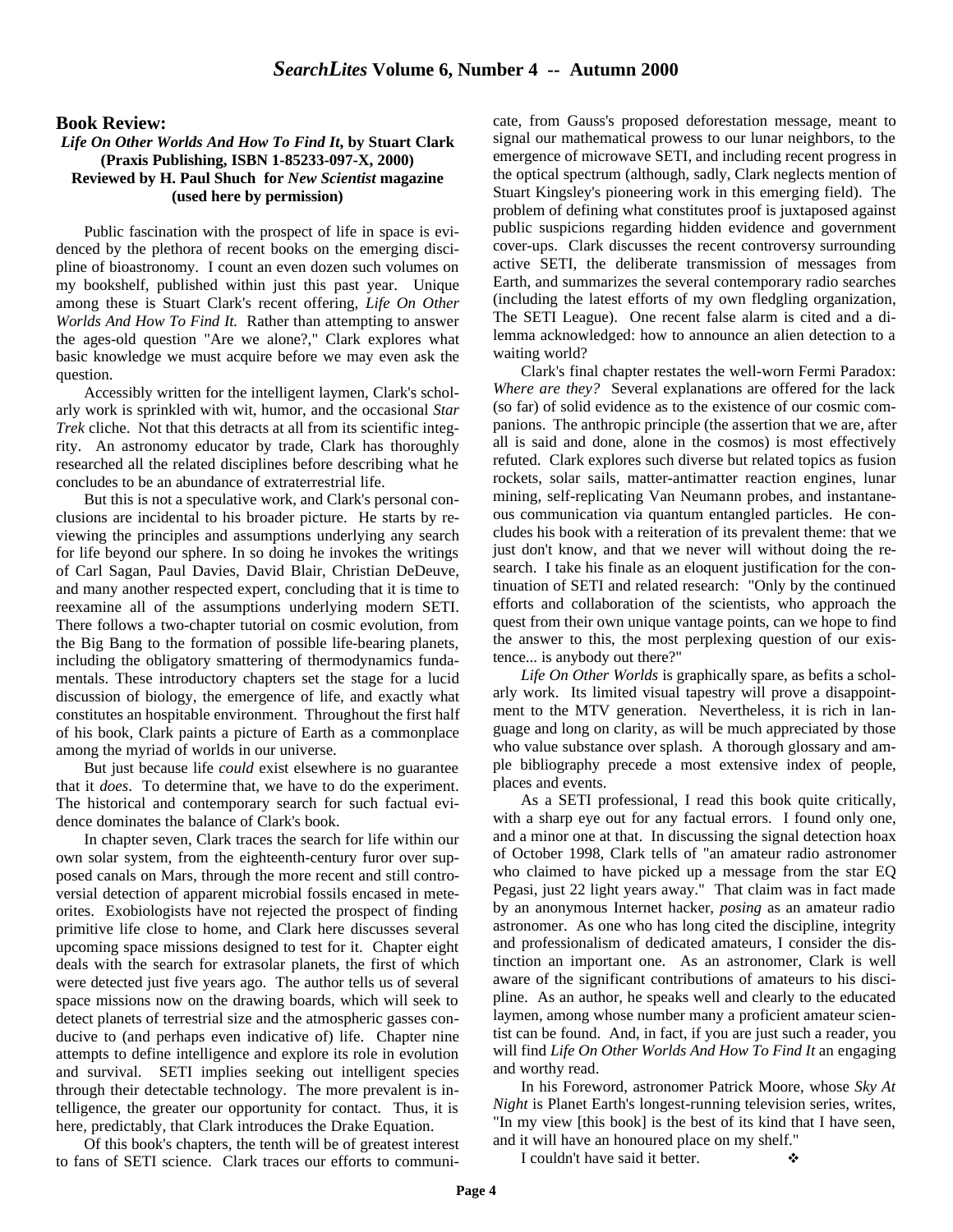#### **Book Review:**

#### *Life On Other Worlds And How To Find It***, by Stuart Clark (Praxis Publishing, ISBN 1-85233-097-X, 2000) Reviewed by H. Paul Shuch for** *New Scientist* **magazine (used here by permission)**

Public fascination with the prospect of life in space is evidenced by the plethora of recent books on the emerging discipline of bioastronomy. I count an even dozen such volumes on my bookshelf, published within just this past year. Unique among these is Stuart Clark's recent offering, *Life On Other Worlds And How To Find It.* Rather than attempting to answer the ages-old question "Are we alone?," Clark explores what basic knowledge we must acquire before we may even ask the question.

Accessibly written for the intelligent laymen, Clark's scholarly work is sprinkled with wit, humor, and the occasional *Star Trek* cliche. Not that this detracts at all from its scientific integrity. An astronomy educator by trade, Clark has thoroughly researched all the related disciplines before describing what he concludes to be an abundance of extraterrestrial life.

But this is not a speculative work, and Clark's personal conclusions are incidental to his broader picture. He starts by reviewing the principles and assumptions underlying any search for life beyond our sphere. In so doing he invokes the writings of Carl Sagan, Paul Davies, David Blair, Christian DeDeuve, and many another respected expert, concluding that it is time to reexamine all of the assumptions underlying modern SETI. There follows a two-chapter tutorial on cosmic evolution, from the Big Bang to the formation of possible life-bearing planets, including the obligatory smattering of thermodynamics fundamentals. These introductory chapters set the stage for a lucid discussion of biology, the emergence of life, and exactly what constitutes an hospitable environment. Throughout the first half of his book, Clark paints a picture of Earth as a commonplace among the myriad of worlds in our universe.

But just because life *could* exist elsewhere is no guarantee that it *does*. To determine that, we have to do the experiment. The historical and contemporary search for such factual evidence dominates the balance of Clark's book.

In chapter seven, Clark traces the search for life within our own solar system, from the eighteenth-century furor over supposed canals on Mars, through the more recent and still controversial detection of apparent microbial fossils encased in meteorites. Exobiologists have not rejected the prospect of finding primitive life close to home, and Clark here discusses several upcoming space missions designed to test for it. Chapter eight deals with the search for extrasolar planets, the first of which were detected just five years ago. The author tells us of several space missions now on the drawing boards, which will seek to detect planets of terrestrial size and the atmospheric gasses conducive to (and perhaps even indicative of) life. Chapter nine attempts to define intelligence and explore its role in evolution and survival. SETI implies seeking out intelligent species through their detectable technology. The more prevalent is intelligence, the greater our opportunity for contact. Thus, it is here, predictably, that Clark introduces the Drake Equation.

Of this book's chapters, the tenth will be of greatest interest to fans of SETI science. Clark traces our efforts to communicate, from Gauss's proposed deforestation message, meant to signal our mathematical prowess to our lunar neighbors, to the emergence of microwave SETI, and including recent progress in the optical spectrum (although, sadly, Clark neglects mention of Stuart Kingsley's pioneering work in this emerging field). The problem of defining what constitutes proof is juxtaposed against public suspicions regarding hidden evidence and government cover-ups. Clark discusses the recent controversy surrounding active SETI, the deliberate transmission of messages from Earth, and summarizes the several contemporary radio searches (including the latest efforts of my own fledgling organization, The SETI League). One recent false alarm is cited and a dilemma acknowledged: how to announce an alien detection to a waiting world?

Clark's final chapter restates the well-worn Fermi Paradox: *Where are they?* Several explanations are offered for the lack (so far) of solid evidence as to the existence of our cosmic companions. The anthropic principle (the assertion that we are, after all is said and done, alone in the cosmos) is most effectively refuted. Clark explores such diverse but related topics as fusion rockets, solar sails, matter-antimatter reaction engines, lunar mining, self-replicating Van Neumann probes, and instantaneous communication via quantum entangled particles. He concludes his book with a reiteration of its prevalent theme: that we just don't know, and that we never will without doing the research. I take his finale as an eloquent justification for the continuation of SETI and related research: "Only by the continued efforts and collaboration of the scientists, who approach the quest from their own unique vantage points, can we hope to find the answer to this, the most perplexing question of our existence... is anybody out there?"

*Life On Other Worlds* is graphically spare, as befits a scholarly work. Its limited visual tapestry will prove a disappointment to the MTV generation. Nevertheless, it is rich in language and long on clarity, as will be much appreciated by those who value substance over splash. A thorough glossary and ample bibliography precede a most extensive index of people, places and events.

As a SETI professional, I read this book quite critically, with a sharp eye out for any factual errors. I found only one, and a minor one at that. In discussing the signal detection hoax of October 1998, Clark tells of "an amateur radio astronomer who claimed to have picked up a message from the star EQ Pegasi, just 22 light years away." That claim was in fact made by an anonymous Internet hacker, *posing* as an amateur radio astronomer. As one who has long cited the discipline, integrity and professionalism of dedicated amateurs, I consider the distinction an important one. As an astronomer, Clark is well aware of the significant contributions of amateurs to his discipline. As an author, he speaks well and clearly to the educated laymen, among whose number many a proficient amateur scientist can be found. And, in fact, if you are just such a reader, you will find *Life On Other Worlds And How To Find It* an engaging and worthy read.

In his Foreword, astronomer Patrick Moore, whose *Sky At Night* is Planet Earth's longest-running television series, writes, "In my view [this book] is the best of its kind that I have seen, and it will have an honoured place on my shelf."

I couldn't have said it better.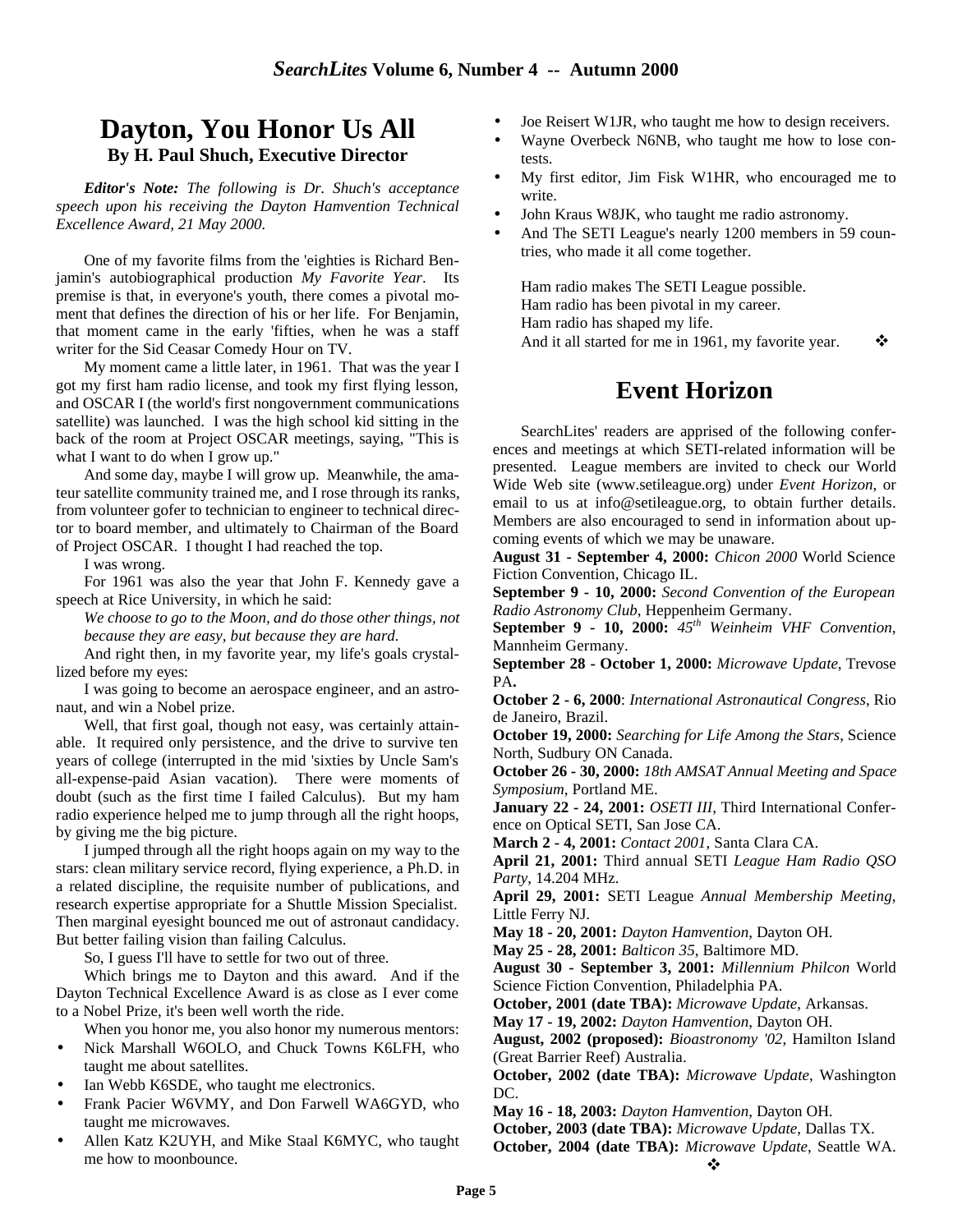### **Dayton, You Honor Us All By H. Paul Shuch, Executive Director**

*Editor's Note: The following is Dr. Shuch's acceptance speech upon his receiving the Dayton Hamvention Technical Excellence Award, 21 May 2000.*

One of my favorite films from the 'eighties is Richard Benjamin's autobiographical production *My Favorite Year*. Its premise is that, in everyone's youth, there comes a pivotal moment that defines the direction of his or her life. For Benjamin, that moment came in the early 'fifties, when he was a staff writer for the Sid Ceasar Comedy Hour on TV.

My moment came a little later, in 1961. That was the year I got my first ham radio license, and took my first flying lesson, and OSCAR I (the world's first nongovernment communications satellite) was launched. I was the high school kid sitting in the back of the room at Project OSCAR meetings, saying, "This is what I want to do when I grow up."

And some day, maybe I will grow up. Meanwhile, the amateur satellite community trained me, and I rose through its ranks, from volunteer gofer to technician to engineer to technical director to board member, and ultimately to Chairman of the Board of Project OSCAR. I thought I had reached the top.

I was wrong.

For 1961 was also the year that John F. Kennedy gave a speech at Rice University, in which he said:

*We choose to go to the Moon, and do those other things, not because they are easy, but because they are hard.*

And right then, in my favorite year, my life's goals crystallized before my eyes:

I was going to become an aerospace engineer, and an astronaut, and win a Nobel prize.

Well, that first goal, though not easy, was certainly attainable. It required only persistence, and the drive to survive ten years of college (interrupted in the mid 'sixties by Uncle Sam's all-expense-paid Asian vacation). There were moments of doubt (such as the first time I failed Calculus). But my ham radio experience helped me to jump through all the right hoops, by giving me the big picture.

I jumped through all the right hoops again on my way to the stars: clean military service record, flying experience, a Ph.D. in a related discipline, the requisite number of publications, and research expertise appropriate for a Shuttle Mission Specialist. Then marginal eyesight bounced me out of astronaut candidacy. But better failing vision than failing Calculus.

So, I guess I'll have to settle for two out of three.

Which brings me to Dayton and this award. And if the Dayton Technical Excellence Award is as close as I ever come to a Nobel Prize, it's been well worth the ride.

When you honor me, you also honor my numerous mentors:

- Nick Marshall W6OLO, and Chuck Towns K6LFH, who taught me about satellites.
- Ian Webb K6SDE, who taught me electronics.
- Frank Pacier W6VMY, and Don Farwell WA6GYD, who taught me microwaves.
- Allen Katz K2UYH, and Mike Staal K6MYC, who taught me how to moonbounce.
- Joe Reisert W1JR, who taught me how to design receivers.
- Wayne Overbeck N6NB, who taught me how to lose contests.
- My first editor, Jim Fisk W1HR, who encouraged me to write.
- John Kraus W8JK, who taught me radio astronomy.
- And The SETI League's nearly 1200 members in 59 countries, who made it all come together.

Ham radio makes The SETI League possible. Ham radio has been pivotal in my career. Ham radio has shaped my life. And it all started for me in 1961, my favorite year.  $\bullet$ 

### **Event Horizon**

SearchLites' readers are apprised of the following conferences and meetings at which SETI-related information will be presented. League members are invited to check our World Wide Web site (www.setileague.org) under *Event Horizon*, or email to us at info@setileague.org, to obtain further details. Members are also encouraged to send in information about upcoming events of which we may be unaware.

**August 31 - September 4, 2000:** *Chicon 2000* World Science Fiction Convention, Chicago IL.

**September 9 - 10, 2000:** *Second Convention of the European Radio Astronomy Club*, Heppenheim Germany.

**September 9 - 10, 2000:** *45th Weinheim VHF Convention*, Mannheim Germany.

**September 28 - October 1, 2000:** *Microwave Update*, Trevose PA**.** 

**October 2 - 6, 2000**: *International Astronautical Congress*, Rio de Janeiro, Brazil.

**October 19, 2000:** *Searching for Life Among the Stars*, Science North, Sudbury ON Canada.

**October 26 - 30, 2000:** *18th AMSAT Annual Meeting and Space Symposium*, Portland ME.

**January 22 - 24, 2001:** *OSETI III*, Third International Conference on Optical SETI, San Jose CA.

**March 2 - 4, 2001:** *Contact 2001*, Santa Clara CA.

**April 21, 2001:** Third annual SETI *League Ham Radio QSO Party*, 14.204 MHz.

**April 29, 2001:** SETI League *Annual Membership Meeting*, Little Ferry NJ.

**May 18 - 20, 2001:** *Dayton Hamvention*, Dayton OH.

**May 25 - 28, 2001:** *Balticon 35*, Baltimore MD.

**August 30 - September 3, 2001:** *Millennium Philcon* World Science Fiction Convention, Philadelphia PA.

**October, 2001 (date TBA):** *Microwave Update*, Arkansas.

**May 17 - 19, 2002:** *Dayton Hamvention*, Dayton OH.

**August, 2002 (proposed):** *Bioastronomy '02*, Hamilton Island (Great Barrier Reef) Australia.

**October, 2002 (date TBA):** *Microwave Update*, Washington DC.

**May 16 - 18, 2003:** *Dayton Hamvention*, Dayton OH.

**October, 2003 (date TBA):** *Microwave Update*, Dallas TX.

**October, 2004 (date TBA):** *Microwave Update*, Seattle WA.

 $\ddot{\cdot}$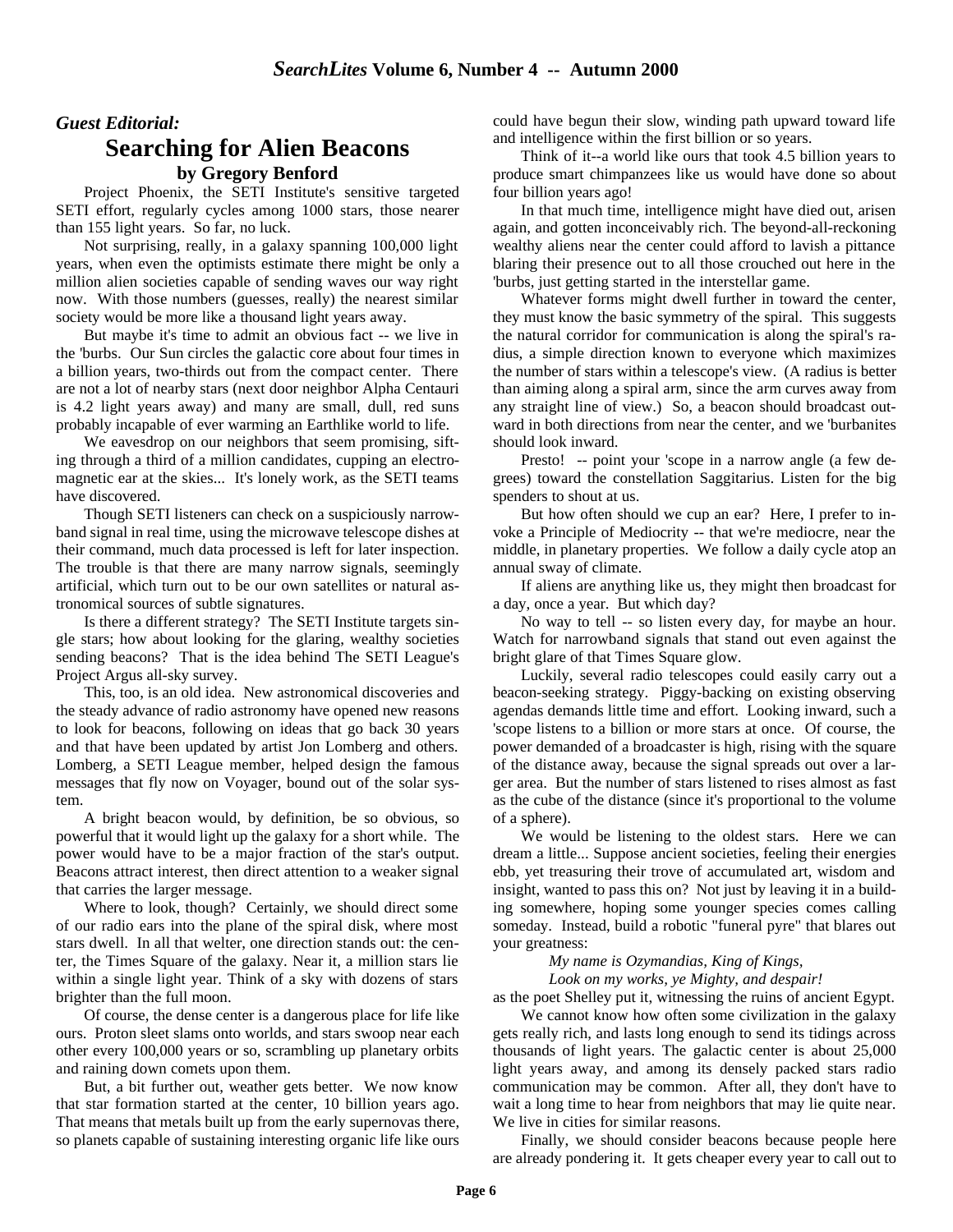#### *Guest Editorial:*

### **Searching for Alien Beacons by Gregory Benford**

Project Phoenix, the SETI Institute's sensitive targeted SETI effort, regularly cycles among 1000 stars, those nearer than 155 light years. So far, no luck.

Not surprising, really, in a galaxy spanning 100,000 light years, when even the optimists estimate there might be only a million alien societies capable of sending waves our way right now. With those numbers (guesses, really) the nearest similar society would be more like a thousand light years away.

But maybe it's time to admit an obvious fact -- we live in the 'burbs. Our Sun circles the galactic core about four times in a billion years, two-thirds out from the compact center. There are not a lot of nearby stars (next door neighbor Alpha Centauri is 4.2 light years away) and many are small, dull, red suns probably incapable of ever warming an Earthlike world to life.

We eavesdrop on our neighbors that seem promising, sifting through a third of a million candidates, cupping an electromagnetic ear at the skies... It's lonely work, as the SETI teams have discovered.

Though SETI listeners can check on a suspiciously narrowband signal in real time, using the microwave telescope dishes at their command, much data processed is left for later inspection. The trouble is that there are many narrow signals, seemingly artificial, which turn out to be our own satellites or natural astronomical sources of subtle signatures.

Is there a different strategy? The SETI Institute targets single stars; how about looking for the glaring, wealthy societies sending beacons? That is the idea behind The SETI League's Project Argus all-sky survey.

This, too, is an old idea. New astronomical discoveries and the steady advance of radio astronomy have opened new reasons to look for beacons, following on ideas that go back 30 years and that have been updated by artist Jon Lomberg and others. Lomberg, a SETI League member, helped design the famous messages that fly now on Voyager, bound out of the solar system.

A bright beacon would, by definition, be so obvious, so powerful that it would light up the galaxy for a short while. The power would have to be a major fraction of the star's output. Beacons attract interest, then direct attention to a weaker signal that carries the larger message.

Where to look, though? Certainly, we should direct some of our radio ears into the plane of the spiral disk, where most stars dwell. In all that welter, one direction stands out: the center, the Times Square of the galaxy. Near it, a million stars lie within a single light year. Think of a sky with dozens of stars brighter than the full moon.

Of course, the dense center is a dangerous place for life like ours. Proton sleet slams onto worlds, and stars swoop near each other every 100,000 years or so, scrambling up planetary orbits and raining down comets upon them.

But, a bit further out, weather gets better. We now know that star formation started at the center, 10 billion years ago. That means that metals built up from the early supernovas there, so planets capable of sustaining interesting organic life like ours could have begun their slow, winding path upward toward life and intelligence within the first billion or so years.

Think of it--a world like ours that took 4.5 billion years to produce smart chimpanzees like us would have done so about four billion years ago!

In that much time, intelligence might have died out, arisen again, and gotten inconceivably rich. The beyond-all-reckoning wealthy aliens near the center could afford to lavish a pittance blaring their presence out to all those crouched out here in the 'burbs, just getting started in the interstellar game.

Whatever forms might dwell further in toward the center, they must know the basic symmetry of the spiral. This suggests the natural corridor for communication is along the spiral's radius, a simple direction known to everyone which maximizes the number of stars within a telescope's view. (A radius is better than aiming along a spiral arm, since the arm curves away from any straight line of view.) So, a beacon should broadcast outward in both directions from near the center, and we 'burbanites should look inward.

Presto! -- point your 'scope in a narrow angle (a few degrees) toward the constellation Saggitarius. Listen for the big spenders to shout at us.

But how often should we cup an ear? Here, I prefer to invoke a Principle of Mediocrity -- that we're mediocre, near the middle, in planetary properties. We follow a daily cycle atop an annual sway of climate.

If aliens are anything like us, they might then broadcast for a day, once a year. But which day?

No way to tell -- so listen every day, for maybe an hour. Watch for narrowband signals that stand out even against the bright glare of that Times Square glow.

Luckily, several radio telescopes could easily carry out a beacon-seeking strategy. Piggy-backing on existing observing agendas demands little time and effort. Looking inward, such a 'scope listens to a billion or more stars at once. Of course, the power demanded of a broadcaster is high, rising with the square of the distance away, because the signal spreads out over a larger area. But the number of stars listened to rises almost as fast as the cube of the distance (since it's proportional to the volume of a sphere).

We would be listening to the oldest stars. Here we can dream a little... Suppose ancient societies, feeling their energies ebb, yet treasuring their trove of accumulated art, wisdom and insight, wanted to pass this on? Not just by leaving it in a building somewhere, hoping some younger species comes calling someday. Instead, build a robotic "funeral pyre" that blares out your greatness:

#### *My name is Ozymandias, King of Kings,*

 *Look on my works, ye Mighty, and despair!*

as the poet Shelley put it, witnessing the ruins of ancient Egypt.

We cannot know how often some civilization in the galaxy gets really rich, and lasts long enough to send its tidings across thousands of light years. The galactic center is about 25,000 light years away, and among its densely packed stars radio communication may be common. After all, they don't have to wait a long time to hear from neighbors that may lie quite near. We live in cities for similar reasons.

Finally, we should consider beacons because people here are already pondering it. It gets cheaper every year to call out to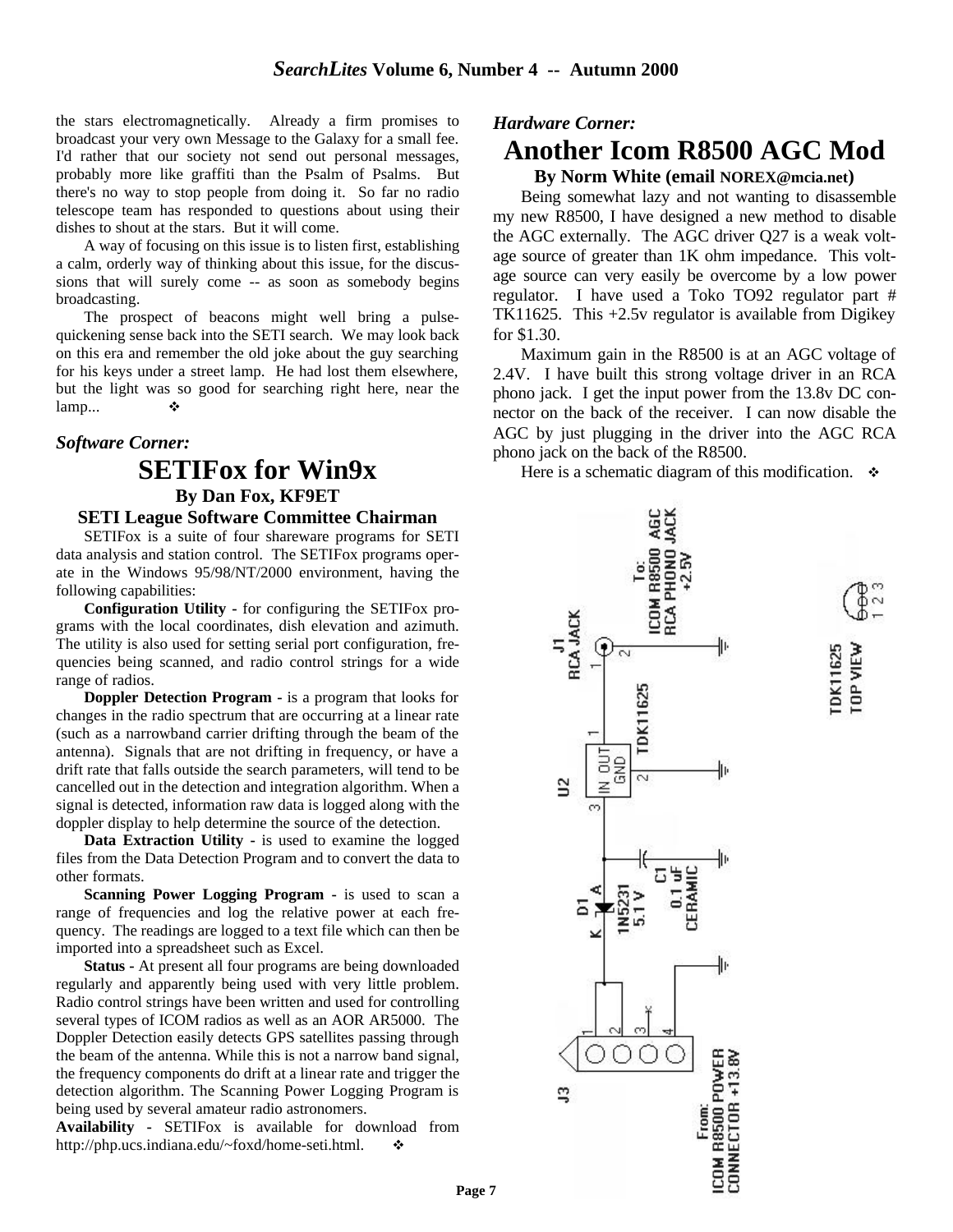the stars electromagnetically. Already a firm promises to broadcast your very own Message to the Galaxy for a small fee. I'd rather that our society not send out personal messages, probably more like graffiti than the Psalm of Psalms. But there's no way to stop people from doing it. So far no radio telescope team has responded to questions about using their dishes to shout at the stars. But it will come.

A way of focusing on this issue is to listen first, establishing a calm, orderly way of thinking about this issue, for the discussions that will surely come -- as soon as somebody begins broadcasting.

The prospect of beacons might well bring a pulsequickening sense back into the SETI search. We may look back on this era and remember the old joke about the guy searching for his keys under a street lamp. He had lost them elsewhere, but the light was so good for searching right here, near the lamp...  $\bullet$ 

#### *Software Corner:*

### **SETIFox for Win9x By Dan Fox, KF9ET SETI League Software Committee Chairman**

SETIFox is a suite of four shareware programs for SETI data analysis and station control. The SETIFox programs operate in the Windows 95/98/NT/2000 environment, having the following capabilities:

**Configuration Utility -** for configuring the SETIFox programs with the local coordinates, dish elevation and azimuth. The utility is also used for setting serial port configuration, frequencies being scanned, and radio control strings for a wide range of radios.

**Doppler Detection Program -** is a program that looks for changes in the radio spectrum that are occurring at a linear rate (such as a narrowband carrier drifting through the beam of the antenna). Signals that are not drifting in frequency, or have a drift rate that falls outside the search parameters, will tend to be cancelled out in the detection and integration algorithm. When a signal is detected, information raw data is logged along with the doppler display to help determine the source of the detection.

**Data Extraction Utility -** is used to examine the logged files from the Data Detection Program and to convert the data to other formats.

**Scanning Power Logging Program -** is used to scan a range of frequencies and log the relative power at each frequency. The readings are logged to a text file which can then be imported into a spreadsheet such as Excel.

**Status -** At present all four programs are being downloaded regularly and apparently being used with very little problem. Radio control strings have been written and used for controlling several types of ICOM radios as well as an AOR AR5000. The Doppler Detection easily detects GPS satellites passing through the beam of the antenna. While this is not a narrow band signal, the frequency components do drift at a linear rate and trigger the detection algorithm. The Scanning Power Logging Program is being used by several amateur radio astronomers.

**Availability -** SETIFox is available for download from http://php.ucs.indiana.edu/~foxd/home-seti.html.

#### *Hardware Corner:*

## **Another Icom R8500 AGC Mod**

#### **By Norm White (email NOREX@mcia.net)**

Being somewhat lazy and not wanting to disassemble my new R8500, I have designed a new method to disable the AGC externally. The AGC driver Q27 is a weak voltage source of greater than 1K ohm impedance. This voltage source can very easily be overcome by a low power regulator. I have used a Toko TO92 regulator part # TK11625. This +2.5v regulator is available from Digikey for \$1.30.

Maximum gain in the R8500 is at an AGC voltage of 2.4V. I have built this strong voltage driver in an RCA phono jack. I get the input power from the 13.8v DC connector on the back of the receiver. I can now disable the AGC by just plugging in the driver into the AGC RCA phono jack on the back of the R8500.

Here is a schematic diagram of this modification.  $\bullet$